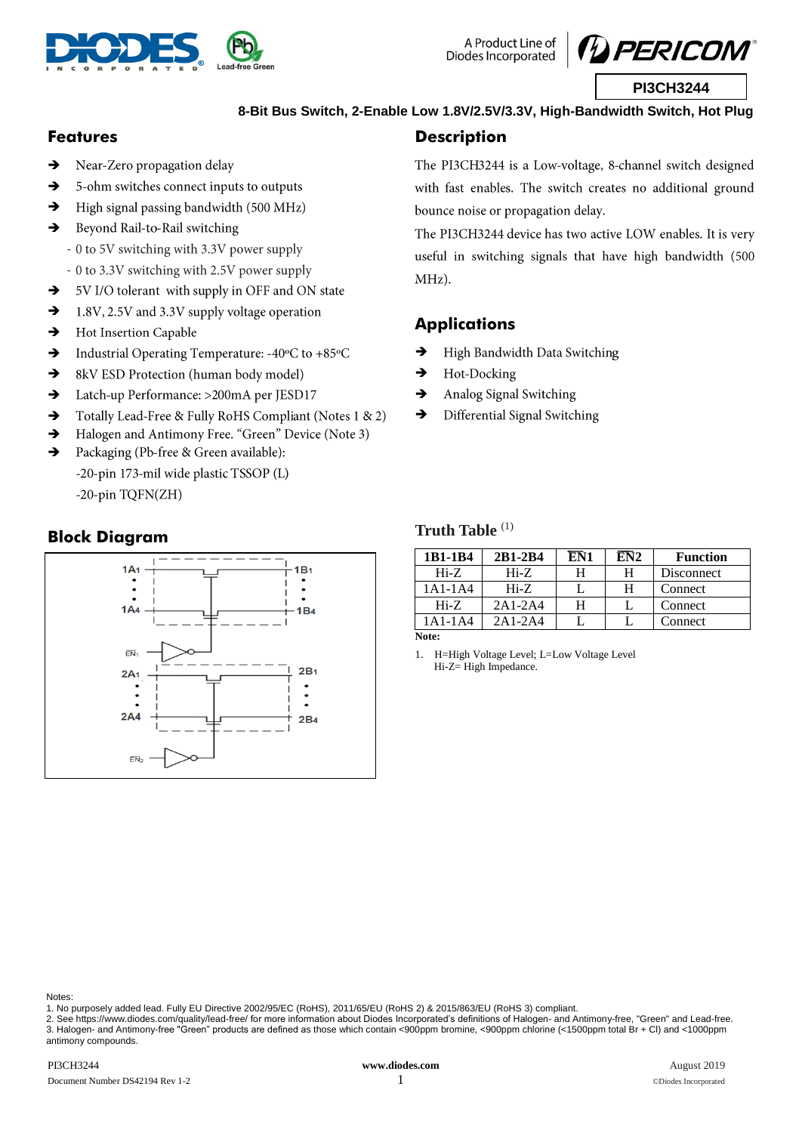

A Product Line of Diodes Incorporated



## **8-Bit Bus Switch, 2-Enable Low 1.8V/2.5V/3.3V, High-Bandwidth Switch, Hot Plug**

## **Features**

- Near-Zero propagation delay →
- → 5-ohm switches connect inputs to outputs
- $\rightarrow$ High signal passing bandwidth (500 MHz)
- $\rightarrow$ Beyond Rail-to-Rail switching
	- 0 to 5V switching with 3.3V power supply
	- 0 to 3.3V switching with 2.5V power supply
- $\rightarrow$ 5V I/O tolerant with supply in OFF and ON state
- $\rightarrow$ 1.8V, 2.5V and 3.3V supply voltage operation
- Hot Insertion Capable  $\rightarrow$
- $\rightarrow$ Industrial Operating Temperature: -40°C to +85°C
- $\rightarrow$ 8kV ESD Protection (human body model)
- Latch-up Performance: >200mA per JESD17  $\rightarrow$
- Totally Lead-Free & Fully RoHS Compliant (Notes 1 & 2)  $\rightarrow$
- $\rightarrow$ Halogen and Antimony Free. "Green" Device (Note 3)
- $\rightarrow$ Packaging (Pb-free & Green available): -20-pin 173-mil wide plastic TSSOP (L) -20-pin TQFN(ZH)

## **Block Diagram**



## **Description**

The PI3CH3244 is a Low-voltage, 8-channel switch designed with fast enables. The switch creates no additional ground bounce noise or propagation delay.

The PI3CH3244 device has two active LOW enables. It is very useful in switching signals that have high bandwidth (500 MHz).

## **Applications**

- → High Bandwidth Data Switching
- → Hot-Docking
- $\rightarrow$ Analog Signal Switching
- → Differential Signal Switching

### **Truth Table** (1)

| 1B1-1B4   | 2B1-2B4   | EN1 | EN2 | <b>Function</b> |
|-----------|-----------|-----|-----|-----------------|
| $Hi-Z$    | $Hi-Z$    | н   | н   | Disconnect      |
| $1A1-1A4$ | $Hi-Z$    |     | H   | Connect         |
| $Hi-Z$    | $2A1-2A4$ | н   |     | Connect         |
| 1A1-1A4   | $2A1-2A4$ |     |     | Connect         |
| Note:     |           |     |     |                 |

1. H=High Voltage Level; L=Low Voltage Level Hi-Z= High Impedance.

Notes:

1. No purposely added lead. Fully EU Directive 2002/95/EC (RoHS), 2011/65/EU (RoHS 2) & 2015/863/EU (RoHS 3) compliant.

2. Se[e https://www.diodes.com/quality/lead-free/](https://www.diodes.com/quality/lead-free/) for more information about Diodes Incorporated's definitions of Halogen- and Antimony-free, "Green" and Lead-free. 3. Halogen- and Antimony-free "Green" products are defined as those which contain <900ppm bromine, <900ppm chlorine (<1500ppm total Br + Cl) and <1000ppm antimony compounds.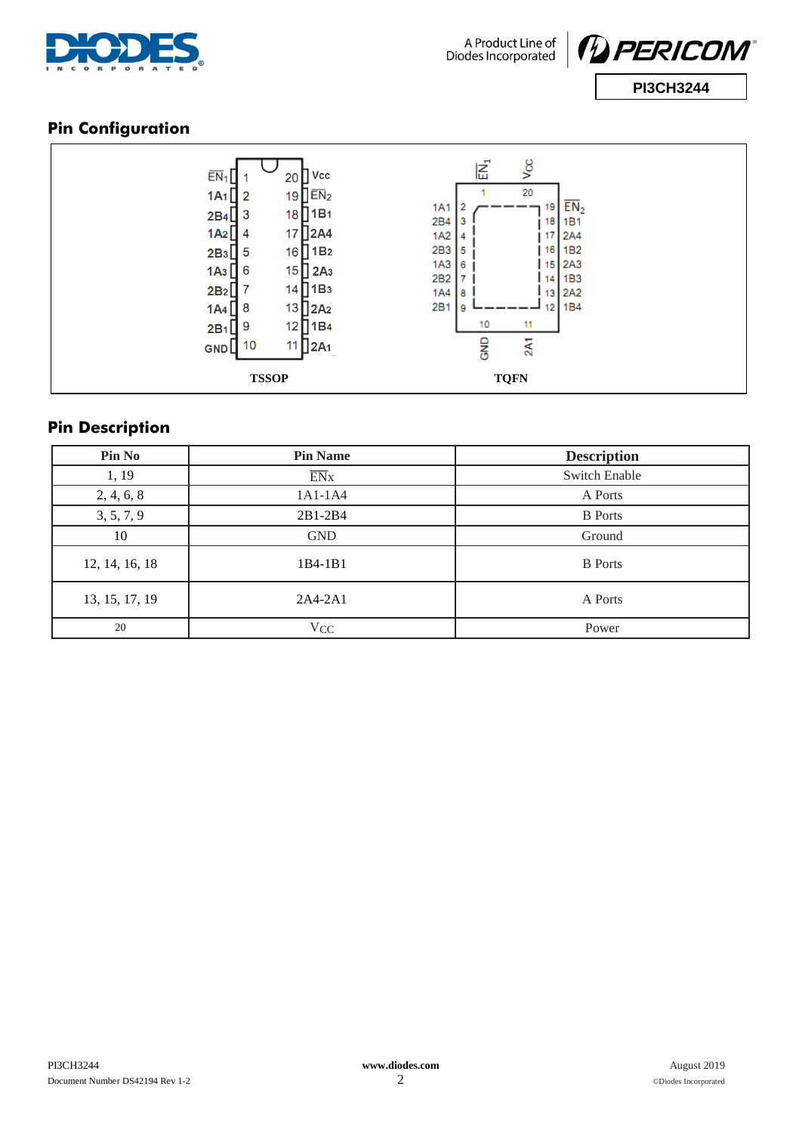



# **Pin Configuration**

|                    |                                               | δg                                              |                        |
|--------------------|-----------------------------------------------|-------------------------------------------------|------------------------|
| $EN_1$             | Vcc<br>20                                     | 扂                                               |                        |
| 1A1                | 19 $E$ $\overline{E}$ $N_2$<br>$\overline{2}$ | 20                                              |                        |
| $2B4$ $3$          | 18 <sup>[1B1]</sup>                           | <b>1A1</b><br>19<br>2B4<br>18                   | EN <sub>2</sub><br>1B1 |
| $1A2$ 4            | 2A4<br>17 <sup>1</sup>                        | 1A2<br>17<br>4                                  | 2A4                    |
| $2B_3$             | 16 <sup>[1B2]</sup><br>5                      | 2B3<br>16<br>5                                  | 1B <sub>2</sub>        |
| $1A3$ <sup>6</sup> | $15$ 2A <sub>3</sub>                          | 1A3<br>$15$   2A3<br>6<br>2B <sub>2</sub><br>14 | 1B3                    |
| $2B_2$             | $14$   $1B3$                                  | <b>1A4</b><br>13 2A2<br>8                       |                        |
| $1A4$ $8$          | $13$ 2A <sub>2</sub>                          | 2B1<br>12<br>9                                  | 1B4                    |
| 2B <sub>1</sub>    | 12<br>1B <sub>4</sub><br>9                    | 10<br>11                                        |                        |
| GND                | 10<br>$11$ 2A <sub>1</sub>                    | <b>GND</b><br>2A1                               |                        |
|                    | <b>TSSOP</b>                                  | <b>TQFN</b>                                     |                        |

# **Pin Description**

| Pin No         | <b>Pin Name</b>  | <b>Description</b> |
|----------------|------------------|--------------------|
| 1, 19          | $\overline{EN}x$ | Switch Enable      |
| 2, 4, 6, 8     | 1A1-1A4          | A Ports            |
| 3, 5, 7, 9     | 2B1-2B4          | <b>B</b> Ports     |
| 10             | <b>GND</b>       | Ground             |
| 12, 14, 16, 18 | $1B4-1B1$        | <b>B</b> Ports     |
| 13, 15, 17, 19 | $2A4-2A1$        | A Ports            |
| 20             | $V_{CC}$         | Power              |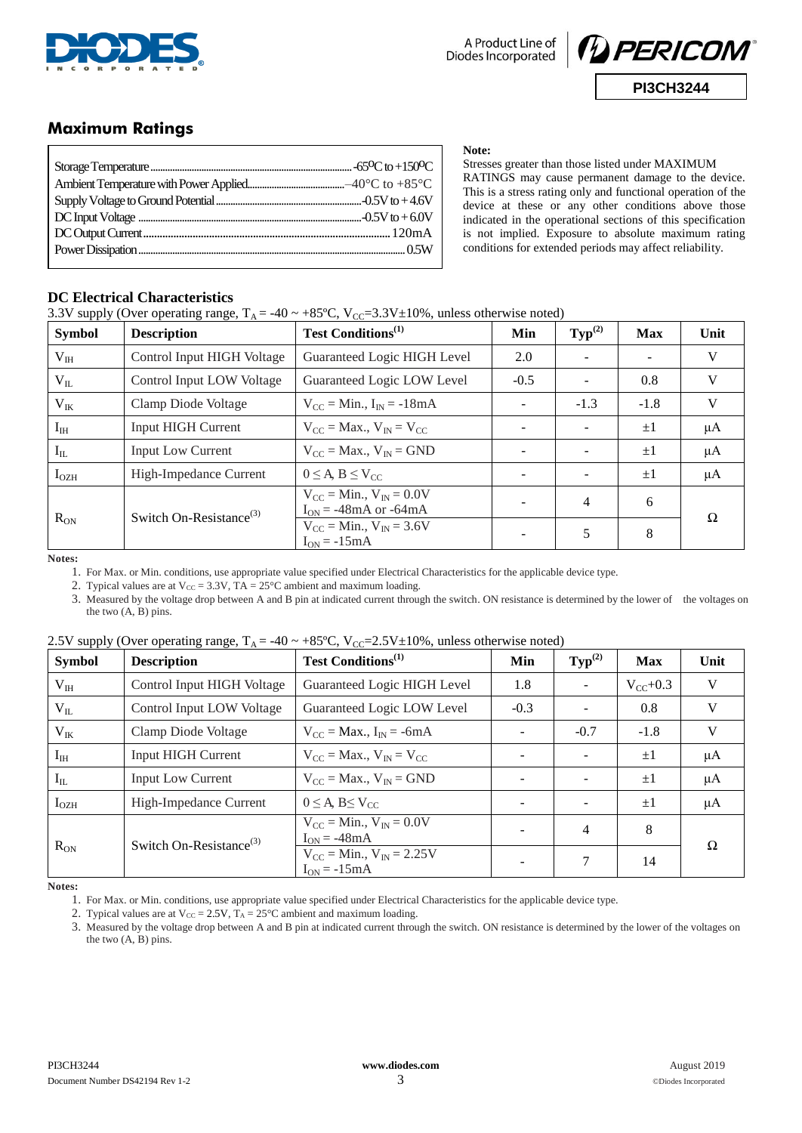

**Note:**



## **Maximum Ratings**

Stresses greater than those listed under MAXIMUM RATINGS may cause permanent damage to the device. This is a stress rating only and functional operation of the device at these or any other conditions above those indicated in the operational sections of this specification is not implied. Exposure to absolute maximum rating conditions for extended periods may affect reliability.

### **DC Electrical Characteristics**

3.3V supply (Over operating range,  $T_A = -40 \sim +85 \degree C$ ,  $V_{CC} = 3.3V \pm 10\%$ , unless otherwise noted)

| <b>Symbol</b>    | <b>Description</b>                  | <b>Test Conditions</b> <sup>(1)</sup>                                           | Min    | $\text{Typ}^{(2)}$ | <b>Max</b> | Unit |
|------------------|-------------------------------------|---------------------------------------------------------------------------------|--------|--------------------|------------|------|
| $V_{IH}$         | Control Input HIGH Voltage          | Guaranteed Logic HIGH Level                                                     | 2.0    |                    |            | V    |
| $V_{IL}$         | Control Input LOW Voltage           | Guaranteed Logic LOW Level                                                      | $-0.5$ |                    | 0.8        | V    |
| $V_{IK}$         | Clamp Diode Voltage                 | $V_{CC}$ = Min., $I_{IN}$ = -18mA                                               |        | $-1.3$             | $-1.8$     | V    |
| $I_{\rm IH}$     | <b>Input HIGH Current</b>           | $V_{CC}$ = Max., $V_{IN}$ = $V_{CC}$                                            |        |                    | $\pm 1$    | μA   |
| $I_{IL}$         | <b>Input Low Current</b>            | $V_{CC}$ = Max., $V_{IN}$ = GND                                                 |        |                    | $\pm 1$    | μA   |
| I <sub>OZH</sub> | High-Impedance Current              | $0 \leq A, B \leq V_{CC}$                                                       |        |                    | $\pm 1$    | μA   |
|                  | Switch On-Resistance <sup>(3)</sup> | $V_{CC}$ = Min., $V_{IN}$ = 0.0V<br>$I_{ON} = -48 \text{mA}$ or $-64 \text{mA}$ |        | $\overline{4}$     | 6          | Ω    |
| $R_{ON}$         |                                     | $V_{CC} = Min., V_{IN} = 3.6V$<br>$I_{ON} = -15mA$                              |        | 5                  | 8          |      |

**Notes:**

1. For Max. or Min. conditions, use appropriate value specified under Electrical Characteristics for the applicable device type.

2. Typical values are at  $V_{CC} = 3.3V$ ,  $TA = 25^{\circ}C$  ambient and maximum loading.

3. Measured by the voltage drop between A and B pin at indicated current through the switch. ON resistance is determined by the lower of the voltages on the two  $(A, B)$  pins.

| <b>Symbol</b>    | <b>Description</b>                  | Test Conditions <sup>(1)</sup>                       | Min                      | $\text{Typ}^{(2)}$ | <b>Max</b>    | Unit    |
|------------------|-------------------------------------|------------------------------------------------------|--------------------------|--------------------|---------------|---------|
| $V_{III}$        | Control Input HIGH Voltage          | Guaranteed Logic HIGH Level                          | 1.8                      |                    | $V_{CC}$ +0.3 | V       |
| $V_{IL}$         | Control Input LOW Voltage           | Guaranteed Logic LOW Level                           | $-0.3$                   |                    | 0.8           | V       |
| $V_{IK}$         | Clamp Diode Voltage                 | $V_{CC}$ = Max., $I_{IN}$ = -6mA                     |                          | $-0.7$             | $-1.8$        | V       |
| $I_{IH}$         | <b>Input HIGH Current</b>           | $V_{CC}$ = Max., $V_{IN}$ = $V_{CC}$                 |                          |                    | $\pm 1$       | $\mu A$ |
| $I_{IL}$         | <b>Input Low Current</b>            | $V_{CC}$ = Max., $V_{IN}$ = GND                      | $\sim$                   |                    | $\pm 1$       | μA      |
| I <sub>OZH</sub> | High-Impedance Current              | $0 \leq A$ , B $\leq$ V <sub>CC</sub>                | $\overline{\phantom{a}}$ |                    | $\pm 1$       | μA      |
| $R_{ON}$         | Switch On-Resistance <sup>(3)</sup> | $V_{CC}$ = Min., $V_{IN}$ = 0.0V<br>$I_{ON} = -48mA$ |                          | $\overline{4}$     | 8             | Ω       |
|                  |                                     | $V_{CC} = Min., V_{IN} = 2.25V$<br>$I_{ON} = -15mA$  |                          | 7                  | 14            |         |

### 2.5V supply (Over operating range,  $T_A = -40 \approx +85 \text{°C}$ ,  $V_{CC} = 2.5V \pm 10\%$ , unless otherwise noted)

**Notes:**

1. For Max. or Min. conditions, use appropriate value specified under Electrical Characteristics for the applicable device type.

2. Typical values are at  $V_{CC} = 2.5V$ ,  $T_A = 25^{\circ}C$  ambient and maximum loading.

3. Measured by the voltage drop between A and B pin at indicated current through the switch. ON resistance is determined by the lower of the voltages on the two (A, B) pins.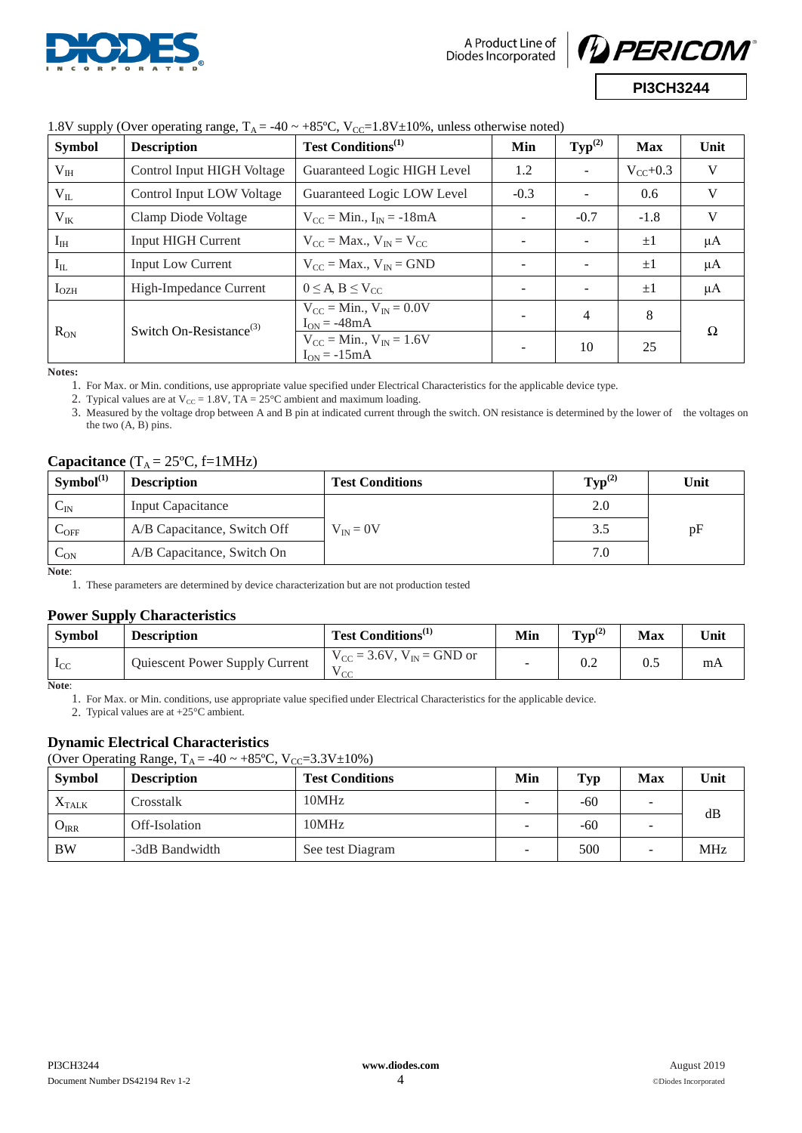

A Product Line of Diodes Incorporated



| <b>Symbol</b> | <b>Description</b>                  | <b>Test Conditions</b> <sup>(1)</sup>                | Min    | $\text{Typ}^{(2)}$ | <b>Max</b>    | Unit |
|---------------|-------------------------------------|------------------------------------------------------|--------|--------------------|---------------|------|
| $V_{III}$     | Control Input HIGH Voltage          | Guaranteed Logic HIGH Level                          | 1.2    |                    | $V_{CC}$ +0.3 | V    |
| $V_{IL}$      | Control Input LOW Voltage           | Guaranteed Logic LOW Level                           | $-0.3$ |                    | 0.6           | V    |
| $V_{IK}$      | Clamp Diode Voltage                 | $V_{CC} = Min., I_{IN} = -18mA$                      |        | $-0.7$             | $-1.8$        | V    |
| $I_{\rm IH}$  | <b>Input HIGH Current</b>           | $V_{CC}$ = Max., $V_{IN}$ = $V_{CC}$                 |        |                    | $\pm 1$       | μA   |
| $I_{IL}$      | Input Low Current                   | $V_{CC} = Max., V_{IN} = GND$                        |        |                    | $\pm 1$       | μA   |
| $I_{OZH}$     | High-Impedance Current              | $0 \leq A, B \leq V_{CC}$                            | -      |                    | $\pm 1$       | μA   |
|               | Switch On-Resistance <sup>(3)</sup> | $V_{CC}$ = Min., $V_{IN}$ = 0.0V<br>$I_{ON} = -48mA$ |        | $\overline{4}$     | 8             | Ω    |
| $R_{ON}$      |                                     | $V_{CC}$ = Min., $V_{IN}$ = 1.6V<br>$I_{ON} = -15mA$ |        | 10                 | 25            |      |

### 1.8V supply (Over operating range,  $T_A = -40 \approx +85$ °C,  $V_{CC} = 1.8V \pm 10\%$ , unless otherwise noted)

**Notes:**

1. For Max. or Min. conditions, use appropriate value specified under Electrical Characteristics for the applicable device type.

2. Typical values are at  $V_{CC} = 1.8V$ , TA = 25°C ambient and maximum loading.

3. Measured by the voltage drop between A and B pin at indicated current through the switch. ON resistance is determined by the lower of the voltages on the two (A, B) pins.

### **Capacitance**  $(T_A = 25 \text{°C}, f=1 \text{MHz})$

| Symbol <sup>(1)</sup>       | <b>Description</b>          | <b>Test Conditions</b> | $\text{Typ}^{(2)}$ | Unit |
|-----------------------------|-----------------------------|------------------------|--------------------|------|
| $C_{IN}$                    | <b>Input Capacitance</b>    |                        | 2.0                |      |
| $\mathsf{C}_{\mathrm{OFF}}$ | A/B Capacitance, Switch Off | $V_{IN} = 0V$          | 3.5                | pF   |
| $\mathsf{c}_{\mathtt{ON}}$  | A/B Capacitance, Switch On  |                        | 7.0                |      |

**Note**:

1. These parameters are determined by device characterization but are not production tested

### **Power Supply Characteristics**

| <b>Symbol</b> | <b>Description</b>             | Test Conditions <sup>(1)</sup>               | Min | $Tvp^{(2)}$ | <b>Max</b> | Unit |
|---------------|--------------------------------|----------------------------------------------|-----|-------------|------------|------|
| $_{\rm LCC}$  | Quiescent Power Supply Current | $V_{CC}$ = 3.6V, $V_{IN}$ = GND or<br>$\sim$ |     | 0.2         | 0.2        | mA   |

**Note**:

1. For Max. or Min. conditions, use appropriate value specified under Electrical Characteristics for the applicable device.

2. Typical values are at +25°C ambient.

## **Dynamic Electrical Characteristics**

(Over Operating Range,  $T_A = -40 \sim +85 \degree C$ ,  $V_{CC} = 3.3 \degree V \pm 10 \degree o$ )

| <b>Symbol</b>           | <b>Description</b> | <b>Test Conditions</b> | Min | Typ   | <b>Max</b> | Unit       |
|-------------------------|--------------------|------------------------|-----|-------|------------|------------|
| $\Lambda_{\text{TALK}}$ | Crosstalk          | 10MHz                  | -   | $-60$ | -          | dB         |
| $O_{IRR}$               | Off-Isolation      | 10MHz                  | -   | -60   | -          |            |
| <b>BW</b>               | -3dB Bandwidth     | See test Diagram       |     | 500   | -          | <b>MHz</b> |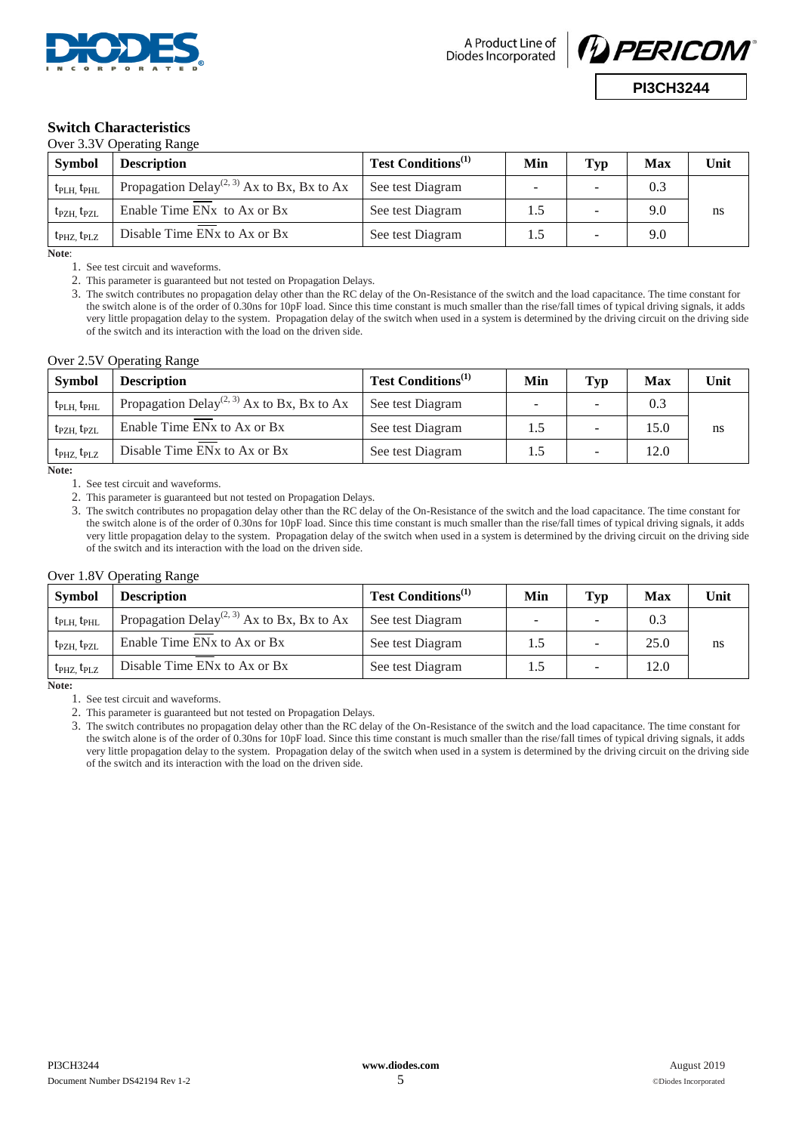



#### **Switch Characteristics** Over 3.3V Operating Range

| <b>Symbol</b>                       | <b>Description</b>                                               | <b>Test Conditions</b> <sup>(1)</sup> | Min | Typ | Max | Unit |
|-------------------------------------|------------------------------------------------------------------|---------------------------------------|-----|-----|-----|------|
| $t_{\rm PLH}$ , $t_{\rm PHL}$       | Propagation Delay <sup>(2, 3)</sup> Ax to Bx, Bx to Ax           | See test Diagram                      |     | -   | 0.3 |      |
| $t_{\text{PZH}}$ , $t_{\text{PZL}}$ | Enable Time EN <sub>x</sub> to A <sub>x</sub> or B <sub>x</sub>  | See test Diagram                      | 1.5 |     | 9.0 | ns   |
| $t_{\rm PHZ}$ , $t_{\rm PLZ}$       | Disable Time EN <sub>x</sub> to A <sub>x</sub> or B <sub>x</sub> | See test Diagram                      | 1.5 | -   | 9.0 |      |

**Note**:

1. See test circuit and waveforms.

2. This parameter is guaranteed but not tested on Propagation Delays.

3. The switch contributes no propagation delay other than the RC delay of the On-Resistance of the switch and the load capacitance. The time constant for the switch alone is of the order of 0.30ns for 10pF load. Since this time constant is much smaller than the rise/fall times of typical driving signals, it adds very little propagation delay to the system. Propagation delay of the switch when used in a system is determined by the driving circuit on the driving side of the switch and its interaction with the load on the driven side.

#### Over 2.5V Operating Range

| <b>Symbol</b>                       | <b>Description</b>                                               | Test Conditions <sup>(1)</sup> | Min | Typ    | <b>Max</b> | Unit |
|-------------------------------------|------------------------------------------------------------------|--------------------------------|-----|--------|------------|------|
| $t_{\text{PLH}}$ , $t_{\text{PHL}}$ | Propagation Delay <sup>(2, 3)</sup> Ax to Bx, Bx to Ax           | See test Diagram               |     | -      | 0.3        |      |
| $t_{\text{PZH}}$ , $t_{\text{PZL}}$ | Enable Time EN <sub>x</sub> to A <sub>x</sub> or B <sub>x</sub>  | See test Diagram               | 1.5 | $\sim$ | 15.0       | ns   |
| $t_{\rm PHZ}$ , $t_{\rm PLZ}$       | Disable Time EN <sub>x</sub> to A <sub>x</sub> or B <sub>x</sub> | See test Diagram               | 1.5 | -      | 12.0       |      |

**Note:** 

1. See test circuit and waveforms.

2. This parameter is guaranteed but not tested on Propagation Delays.

3. The switch contributes no propagation delay other than the RC delay of the On-Resistance of the switch and the load capacitance. The time constant for the switch alone is of the order of 0.30ns for 10pF load. Since this time constant is much smaller than the rise/fall times of typical driving signals, it adds very little propagation delay to the system. Propagation delay of the switch when used in a system is determined by the driving circuit on the driving side of the switch and its interaction with the load on the driven side.

#### Over 1.8V Operating Range

| <b>Symbol</b>                       | <b>Description</b>                                               | Test Conditions <sup>(1)</sup> | Min | Typ | <b>Max</b> | Unit |
|-------------------------------------|------------------------------------------------------------------|--------------------------------|-----|-----|------------|------|
| $t_{\text{PLH}}$ , $t_{\text{PHL}}$ | Propagation Delay <sup>(2, 3)</sup> Ax to Bx, Bx to Ax           | See test Diagram               |     | -   | 0.3        |      |
| $t_{\text{PZH}}$ , $t_{\text{PZL}}$ | Enable Time EN <sub>x</sub> to A <sub>x</sub> or B <sub>x</sub>  | See test Diagram               | 1.5 |     | 25.0       | ns   |
| $t_{\text{PHZ}}$ , $t_{\text{PLZ}}$ | Disable Time EN <sub>x</sub> to A <sub>x</sub> or B <sub>x</sub> | See test Diagram               | 1.5 | -   | 12.0       |      |

**Note:** 

1. See test circuit and waveforms.

2. This parameter is guaranteed but not tested on Propagation Delays.

3. The switch contributes no propagation delay other than the RC delay of the On-Resistance of the switch and the load capacitance. The time constant for the switch alone is of the order of 0.30ns for 10pF load. Since this time constant is much smaller than the rise/fall times of typical driving signals, it adds very little propagation delay to the system. Propagation delay of the switch when used in a system is determined by the driving circuit on the driving side of the switch and its interaction with the load on the driven side.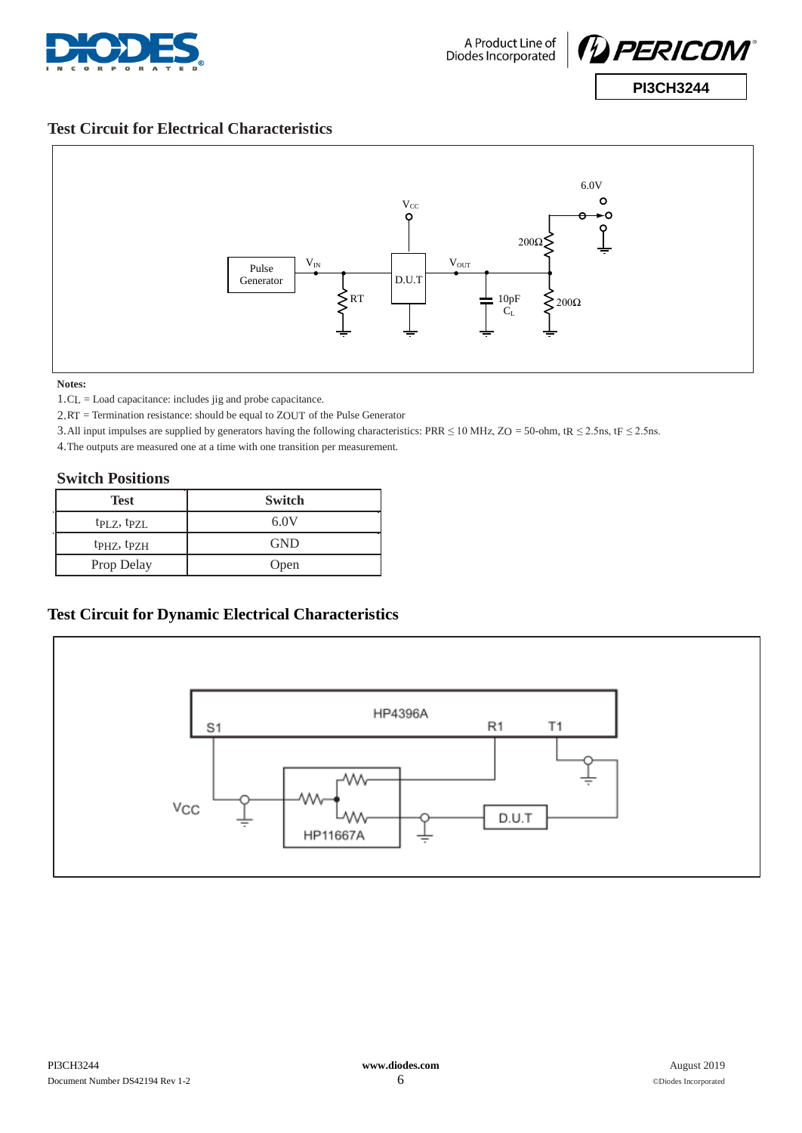



## **Test Circuit for Electrical Characteristics**



#### **Notes:**

1.CL = Load capacitance: includes jig and probe capacitance.

2.RT = Termination resistance: should be equal to ZOUT of the Pulse Generator

3.All input impulses are supplied by generators having the following characteristics: PRR  $\leq$  10 MHz, ZO = 50-ohm, tR  $\leq$  2.5ns, tF  $\leq$  2.5ns.

4.The outputs are measured one at a time with one transition per measurement.

### **Switch Positions**

| <b>Test</b>                         | <b>Switch</b> |
|-------------------------------------|---------------|
| tp <sub>LZ</sub> , tp <sub>ZL</sub> | 6.0V          |
| t <sub>PHZ</sub> , t <sub>PZH</sub> | <b>GND</b>    |
| Prop Delay                          | Open          |

## **Test Circuit for Dynamic Electrical Characteristics**

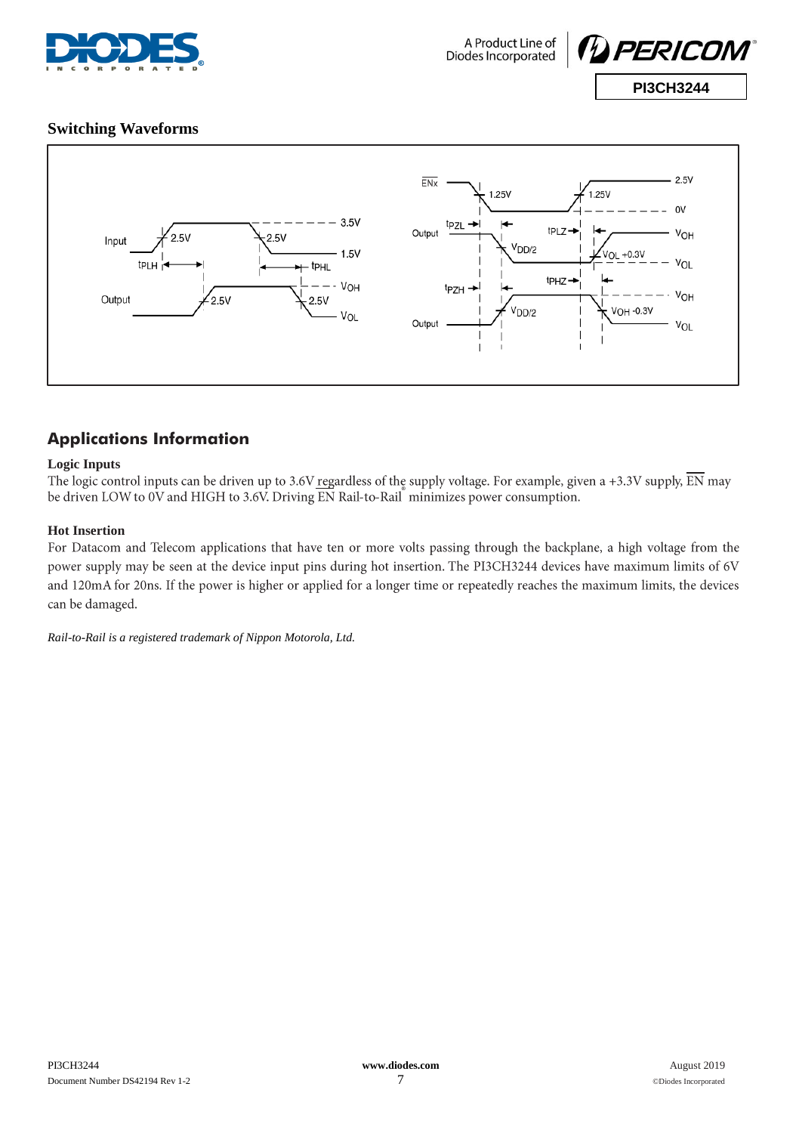



## **Switching Waveforms**



# **Applications Information**

### **Logic Inputs**

The logic control inputs can be driven up to 3.6V regardless of the supply voltage. For example, given a +3.3V supply,  $\overline{EN}$  may be driven LOW to 0V and HIGH to 3.6V. Driving EN Rail-to-Rail minimizes power consumption.

### **Hot Insertion**

For Datacom and Telecom applications that have ten or more volts passing through the backplane, a high voltage from the power supply may be seen at the device input pins during hot insertion. The PI3CH3244 devices have maximum limits of 6V and 120mA for 20ns. If the power is higher or applied for a longer time or repeatedly reaches the maximum limits, the devices can be damaged.

*Rail-to-Rail is a registered trademark of Nippon Motorola, Ltd.*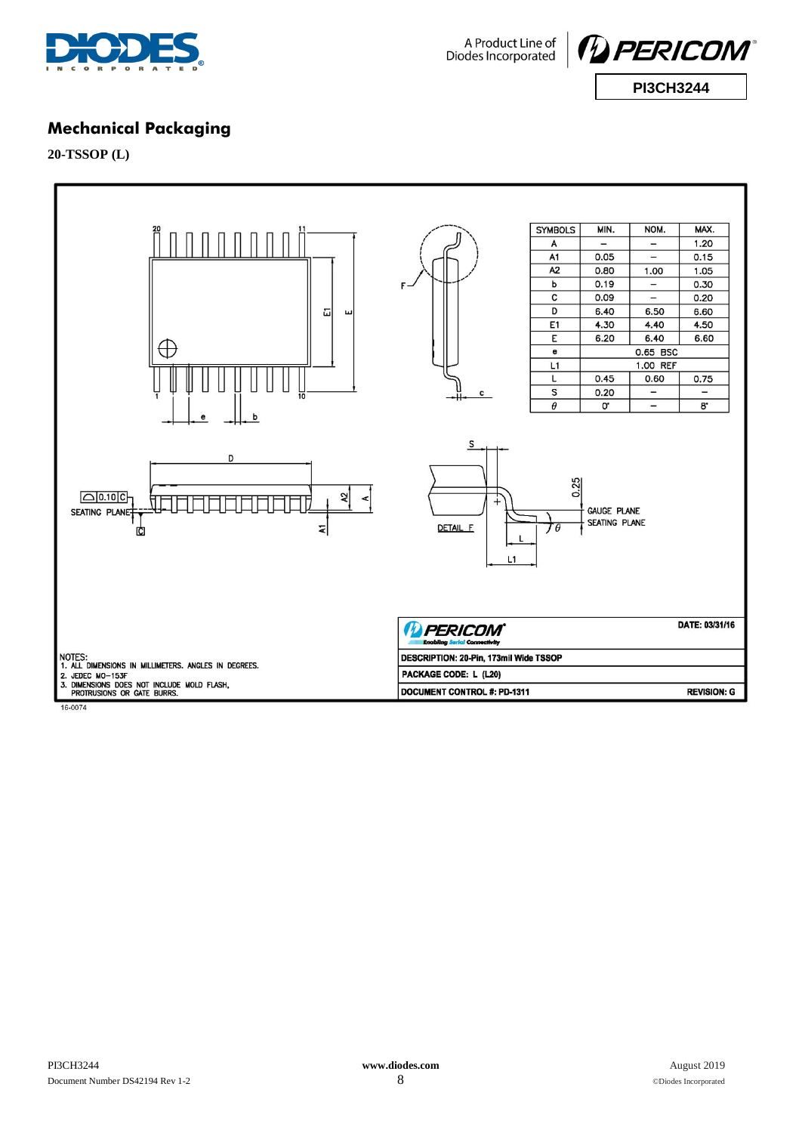





## **Mechanical Packaging**

**20-TSSOP (L)**



16-0074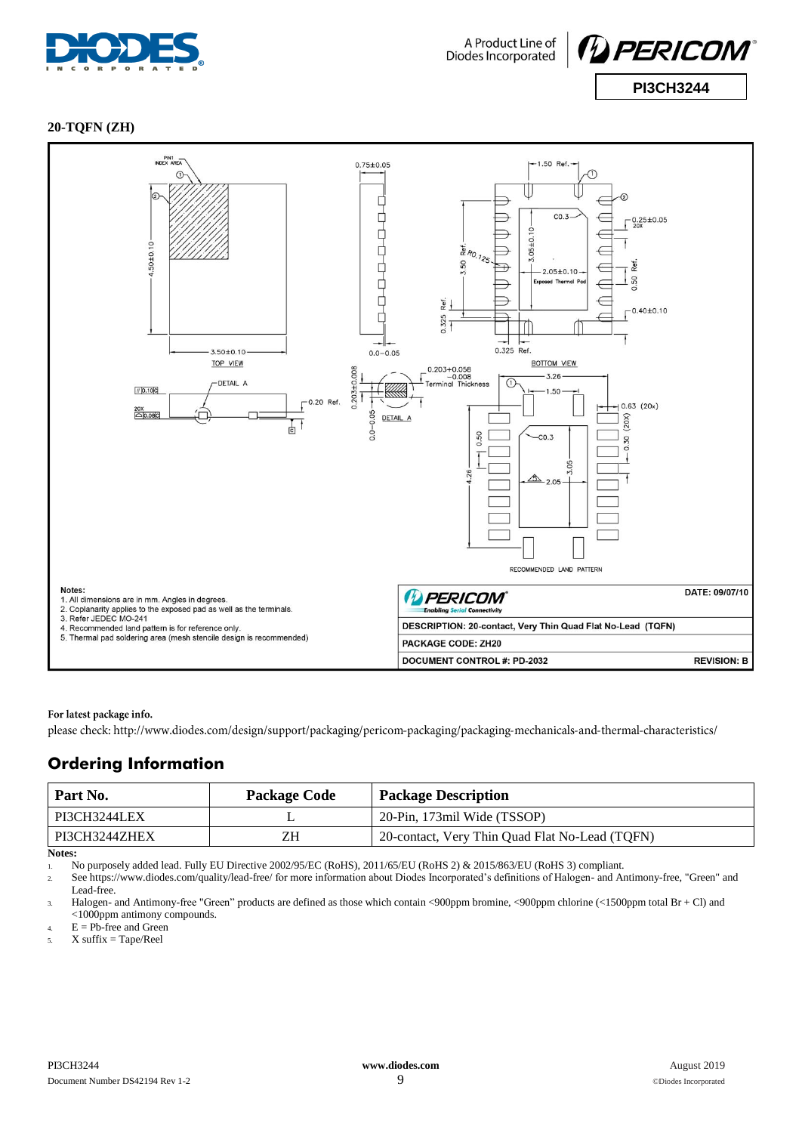



### **20-TQFN (ZH)**



#### For latest package info.

please check: http://www.diodes.com/design/support/packaging/pericom-packaging/packaging-mechanicals-and-thermal-characteristics/

## **Ordering Information**

| Part No.      | <b>Package Code</b> | <b>Package Description</b>                     |
|---------------|---------------------|------------------------------------------------|
| PI3CH3244LEX  |                     | 20-Pin, 173mil Wide (TSSOP)                    |
| PI3CH3244ZHEX | ΖH                  | 20-contact, Very Thin Quad Flat No-Lead (TQFN) |

**Notes:**

1. No purposely added lead. Fully EU Directive 2002/95/EC (RoHS), 2011/65/EU (RoHS 2) & 2015/863/EU (RoHS 3) compliant.

2. See<https://www.diodes.com/quality/lead-free/> for more information about Diodes Incorporated's definitions of Halogen- and Antimony-free, "Green" and Lead-free.

3. Halogen- and Antimony-free "Green" products are defined as those which contain <900ppm bromine, <900ppm chlorine (<1500ppm total Br + Cl) and <1000ppm antimony compounds.

 $4.$  E = Pb-free and Green

 $5.$  X suffix = Tape/Reel